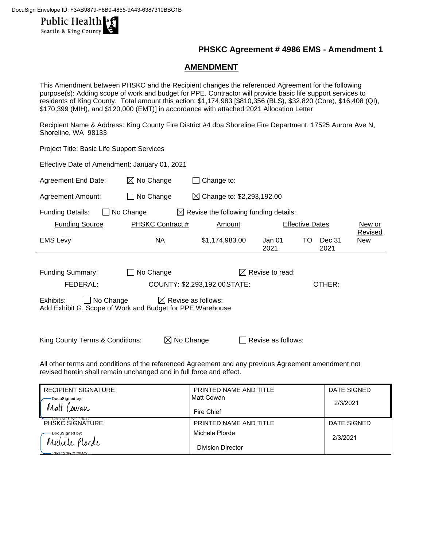

## **PHSKC Agreement # 4986 EMS - Amendment 1**

### **AMENDMENT**

This Amendment between PHSKC and the Recipient changes the referenced Agreement for the following purpose(s): Adding scope of work and budget for PPE. Contractor will provide basic life support services to residents of King County. Total amount this action: \$1,174,983 [\$810,356 (BLS), \$32,820 (Core), \$16,408 (QI), \$170,399 (MIH), and \$120,000 (EMT)] in accordance with attached 2021 Allocation Letter

Recipient Name & Address: King County Fire District #4 dba Shoreline Fire Department, 17525 Aurora Ave N, Shoreline, WA 98133

Project Title: Basic Life Support Services Effective Date of Amendment: January 01, 2021 Agreement End Date:  $\boxtimes$  No Change  $\Box$  Change to: Agreement Amount:  $\Box$  No Change  $\Box$  Change to: \$2,293,192.00 Funding Details:  $\Box$  No Change  $\Box$  Revise the following funding details: Funding Source **PHSKC Contract #** Amount **Effective Dates** New or Revised EMS Levy **NA**  $$1,174,983.00$  Jan 01 2021 TO Dec 31 2021 New Funding Summary:  $\Box$  No Change  $\Box$  Revise to read: FEDERAL: COUNTY: \$2,293,192.00STATE: OTHER: Exhibits:  $\Box$  No Change  $\Box$  Revise as follows: Add Exhibit G, Scope of Work and Budget for PPE Warehouse King County Terms & Conditions:  $\boxtimes$  No Change  $\Box$  Revise as follows:

All other terms and conditions of the referenced Agreement and any previous Agreement amendment not revised herein shall remain unchanged and in full force and effect.

| <b>RECIPIENT SIGNATURE</b>                  | PRINTED NAME AND TITLE | DATE SIGNED |
|---------------------------------------------|------------------------|-------------|
| DocuSigned by:                              | Matt Cowan             | 2/3/2021    |
| ' Matt<br>Cowan                             | Fire Chief             |             |
| ∙usr7orudo⊏du47d…<br><b>PHSKC SIGNATURE</b> | PRINTED NAME AND TITLE | DATE SIGNED |
| DocuSigned by:                              | Michele Plorde         | 2/3/2021    |
| Michele Plorde<br>13BC7C8F2C294C0           | Division Director      |             |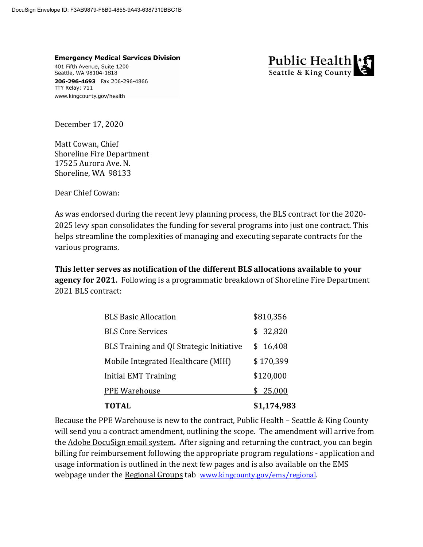**Emergency Medical Services Division** 401 Fifth Avenue, Suite 1200 Seattle, WA 98104-1818 206-296-4693 Fax 206-296-4866 TTY Relay: 711 www.kingcounty.gov/health



December 17, 2020

Matt Cowan, Chief Shoreline Fire Department 17525 Aurora Ave. N. Shoreline, WA 98133

Dear Chief Cowan:

As was endorsed during the recent levy planning process, the BLS contract for the 2020- 2025 levy span consolidates the funding for several programs into just one contract. This helps streamline the complexities of managing and executing separate contracts for the various programs.

**This letter serves as notification of the different BLS allocations available to your agency for 2021.** Following is a programmatic breakdown of Shoreline Fire Department 2021 BLS contract:

| <b>TOTAL</b>                             | \$1,174,983 |
|------------------------------------------|-------------|
| <b>PPE Warehouse</b>                     | \$25,000    |
| Initial EMT Training                     | \$120,000   |
| Mobile Integrated Healthcare (MIH)       | \$170,399   |
| BLS Training and QI Strategic Initiative | \$16,408    |
| <b>BLS Core Services</b>                 | \$32,820    |
| <b>BLS Basic Allocation</b>              | \$810,356   |

Because the PPE Warehouse is new to the contract, Public Health – Seattle & King County will send you a contract amendment, outlining the scope. The amendment will arrive from the Adobe DocuSign email system**.** After signing and returning the contract, you can begin billing for reimbursement following the appropriate program regulations - application and usage information is outlined in the next few pages and is also available on the EMS webpage under the Regional Groups tab www.kingcounty.gov/ems/regional.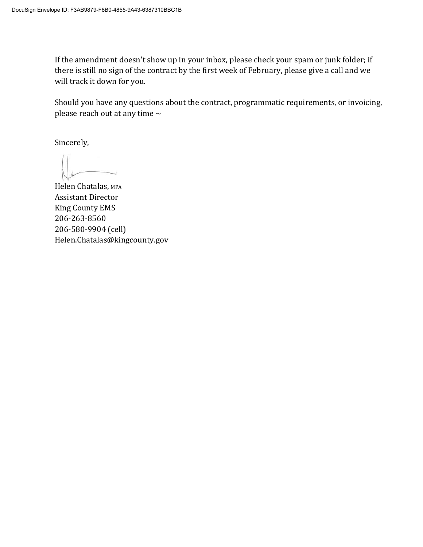If the amendment doesn't show up in your inbox, please check your spam or junk folder; if there is still no sign of the contract by the first week of February, please give a call and we will track it down for you.

Should you have any questions about the contract, programmatic requirements, or invoicing, please reach out at any time  $\sim$ 

Sincerely,

Helen Chatalas, MPA Assistant Director King County EMS 206-263-8560 206-580-9904 (cell) Helen.Chatalas@kingcounty.gov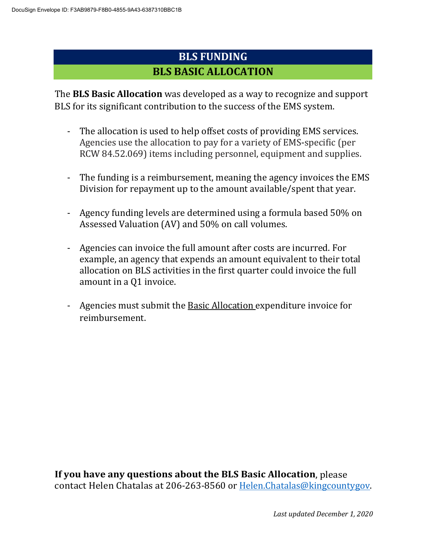# **BLS FUNDING BLS BASIC ALLOCATION**

The **BLS Basic Allocation** was developed as a way to recognize and support BLS for its significant contribution to the success of the EMS system.

- The allocation is used to help offset costs of providing EMS services. Agencies use the allocation to pay for a variety of EMS-specific (per RCW 84.52.069) items including personnel, equipment and supplies.
- The funding is a reimbursement, meaning the agency invoices the EMS Division for repayment up to the amount available/spent that year.
- Agency funding levels are determined using a formula based 50% on Assessed Valuation (AV) and 50% on call volumes.
- Agencies can invoice the full amount after costs are incurred. For example, an agency that expends an amount equivalent to their total allocation on BLS activities in the first quarter could invoice the full amount in a Q1 invoice.
- Agencies must submit the Basic Allocation expenditure invoice for reimbursement.

**If you have any questions about the BLS Basic Allocation**, please contact Helen Chatalas at 206-263-8560 or Helen.Chatalas@kingcountygov.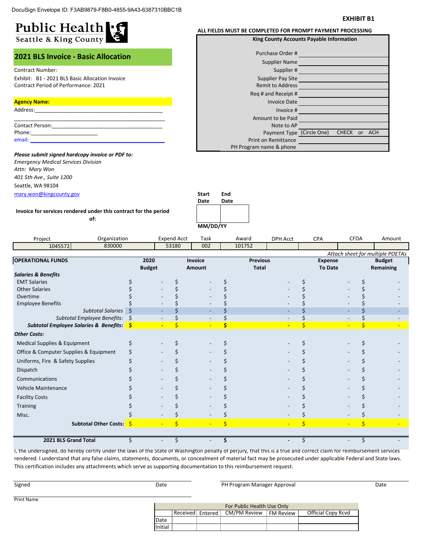#### **EXHIBIT B1**

| Public Health<br>Seattle & King County          | ALL FIELDS MUST BE COMPLETED FOR PROMPT PAYMENT PROCESSING<br>King County Accounts Payable Information |  |  |  |  |
|-------------------------------------------------|--------------------------------------------------------------------------------------------------------|--|--|--|--|
| <b>2021 BLS Invoice - Basic Allocation</b>      | Purchase Order #<br><b>Supplier Name</b>                                                               |  |  |  |  |
| <b>Contract Number:</b>                         | Supplier #                                                                                             |  |  |  |  |
| Exhibit: B1 - 2021 BLS Basic Allocation Invoice | Supplier Pay Site                                                                                      |  |  |  |  |
| <b>Contract Period of Performance: 2021</b>     | <b>Remit to Address</b>                                                                                |  |  |  |  |
|                                                 | Reg # and Receipt #                                                                                    |  |  |  |  |
| <b>Agency Name:</b>                             | <b>Invoice Date</b>                                                                                    |  |  |  |  |
| Address:                                        | Invoice #                                                                                              |  |  |  |  |
|                                                 | Amount to be Paid                                                                                      |  |  |  |  |
| <b>Contact Person:</b>                          | Note to AP                                                                                             |  |  |  |  |
| Phone:                                          | Payment Type (Circle One)<br><b>CHECK</b><br><sub>or</sub>                                             |  |  |  |  |
| email:                                          | Print on Remittance                                                                                    |  |  |  |  |

mary.won@kingcounty.gov **Start End** *Please submit signed hardcopy invoice or PDF to: Emergency Medical Services Division Attn: Mary Won 401 5th Ave., Suite 1200* Seattle, WA 98104

**of:**

ress pt # )ate ce # Paid AP د ype (Circle One) nce PH Program name & phone CHECK or ACH

**Date Date Invoice for services rendered under this contract for the period** 

|                                                       |               |                                | MM/DD/YY       |                 |                 |                |             |                                  |
|-------------------------------------------------------|---------------|--------------------------------|----------------|-----------------|-----------------|----------------|-------------|----------------------------------|
| Project                                               | Organization  | <b>Expend Acct</b>             | Task           | Award           | <b>DPH Acct</b> | <b>CPA</b>     | <b>CFDA</b> | Amount                           |
| 1045572                                               | 830000        | 53180                          | 002            | 101752          |                 |                |             |                                  |
|                                                       |               |                                |                |                 |                 |                |             | Attach sheet for multiple POETAs |
| <b>OPERATIONAL FUNDS</b>                              | 2020          |                                | <b>Invoice</b> | <b>Previous</b> |                 | <b>Expense</b> |             | <b>Budget</b>                    |
|                                                       | <b>Budget</b> |                                | Amount         | <b>Total</b>    |                 | <b>To Date</b> |             | Remaining                        |
| <b>Salaries &amp; Benefits</b><br><b>EMT Salaries</b> |               |                                |                |                 |                 |                |             |                                  |
| <b>Other Salaries</b>                                 |               |                                |                |                 |                 |                |             |                                  |
| Overtime                                              |               |                                |                |                 |                 |                |             |                                  |
| <b>Employee Benefits</b>                              |               |                                |                |                 |                 |                |             |                                  |
| Subtotal Salaries                                     | <sub>S</sub>  |                                |                |                 |                 |                |             |                                  |
| Subtotal Employee Benefits:                           | \$            |                                |                |                 |                 |                |             |                                  |
| Subtotal Employee Salaries & Benefits: S              |               | \$<br>$\overline{\phantom{a}}$ |                | \$              | $\blacksquare$  | Ś              | \$          |                                  |
| <b>Other Costs:</b>                                   |               |                                |                |                 |                 |                |             |                                  |
| Medical Supplies & Equipment                          | Ś             |                                |                |                 |                 |                |             |                                  |
| Office & Computer Supplies & Equipment                |               |                                |                |                 |                 |                |             |                                  |
| Uniforms, Fire & Safety Supplies                      |               |                                |                |                 |                 |                |             |                                  |
| Dispatch                                              |               |                                |                |                 |                 |                |             |                                  |
| Communications                                        |               |                                |                |                 |                 |                |             |                                  |
| <b>Vehicle Maintenance</b>                            |               |                                |                |                 |                 |                |             |                                  |
| <b>Facility Costs</b>                                 |               |                                |                |                 |                 |                |             |                                  |
| Training                                              |               |                                |                |                 |                 |                |             |                                  |
| Misc.                                                 |               |                                |                |                 |                 |                |             |                                  |
| Subtotal Other Costs: \$                              |               | \$                             |                | \$              | Ξ               | \$             | \$          |                                  |
|                                                       |               |                                |                |                 |                 |                |             |                                  |
| 2021 BLS Grand Total                                  |               | ς                              |                |                 |                 |                |             |                                  |

I, the undersigned, do hereby certify under the laws of the State of Washington penalty of perjury, that this is a true and correct claim for reimbursement services rendered. I understand that any false claims, statements, documents, or concealment of material fact may be prosecuted under applicable Federal and State laws. This certification includes any attachments which serve as supporting documentation to this reimbursement request.

| Signed            | Date |                  |  | PH Program Manager Approval | Date             |                    |  |
|-------------------|------|------------------|--|-----------------------------|------------------|--------------------|--|
| <b>Print Name</b> |      |                  |  | For Public Health Use Only  |                  |                    |  |
|                   |      | Received Entered |  | CM/PM Review                | <b>FM Review</b> | Official Copy Rcvd |  |
|                   | Date |                  |  |                             |                  |                    |  |

Initial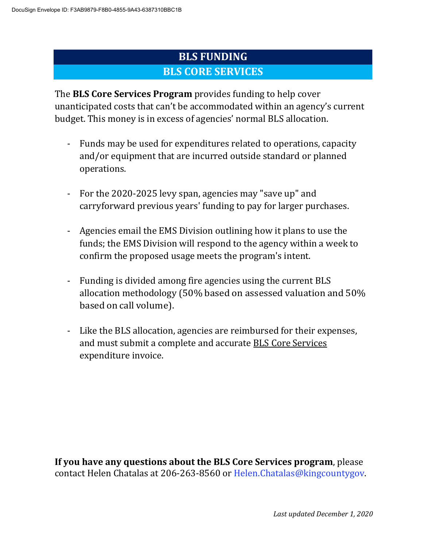# **BLS FUNDING BLS CORE SERVICES**

The **BLS Core Services Program** provides funding to help cover unanticipated costs that can't be accommodated within an agency's current budget. This money is in excess of agencies' normal BLS allocation.

- Funds may be used for expenditures related to operations, capacity and/or equipment that are incurred outside standard or planned operations.
- For the 2020-2025 levy span, agencies may "save up" and carryforward previous years' funding to pay for larger purchases.
- Agencies email the EMS Division outlining how it plans to use the funds; the EMS Division will respond to the agency within a week to confirm the proposed usage meets the program's intent.
- Funding is divided among fire agencies using the current BLS allocation methodology (50% based on assessed valuation and 50% based on call volume).
- Like the BLS allocation, agencies are reimbursed for their expenses, and must submit a complete and accurate BLS Core Services expenditure invoice.

**If you have any questions about the BLS Core Services program**, please contact Helen Chatalas at 206-263-8560 or Helen.Chatalas@kingcountygov.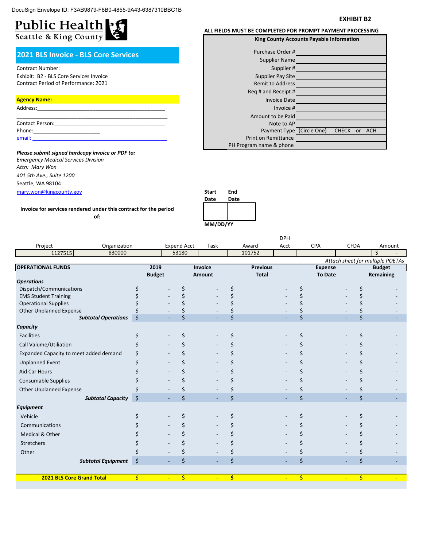### **EXHIBIT B2**

# Public Health - 5

### **2021 BLS Invoice - BLS Core Services**

### Contract Number:

Exhibit: B2 - BLS Core Services Invoice Contract Period of Performance: 2021

#### **Agency Name:**

| Address:        |  |
|-----------------|--|
|                 |  |
| Contact Person: |  |
| Phone:          |  |
| email:          |  |

mary.won@kingcounty.gov **Start End** *Please submit signed hardcopy invoice or PDF to: Emergency Medical Services Division Attn: Mary Won 401 5th Ave., Suite 1200* Seattle, WA 98104

**Invoice for services rendered under this contract for the period** 

#### **of:**



|                                        |                |                    |                          |     |                                 | <b>DPH</b>     |    |                                  |                |                    |                                  |
|----------------------------------------|----------------|--------------------|--------------------------|-----|---------------------------------|----------------|----|----------------------------------|----------------|--------------------|----------------------------------|
| Organization<br>Project                |                | <b>Expend Acct</b> | Task                     |     | Award                           | Acct           |    | <b>CPA</b>                       | <b>CFDA</b>    |                    | Amount                           |
| 1127515<br>830000                      |                | 53180              |                          |     | 101752                          |                |    |                                  |                |                    | Ś.                               |
|                                        |                |                    |                          |     |                                 |                |    |                                  |                |                    | Attach sheet for multiple POETAs |
| <b>OPERATIONAL FUNDS</b>               | 2019           |                    | <b>Invoice</b>           |     | <b>Previous</b><br><b>Total</b> |                |    | <b>Expense</b><br><b>To Date</b> |                |                    | <b>Budget</b>                    |
| <b>Operations</b>                      | <b>Budget</b>  |                    | Amount                   |     |                                 |                |    |                                  |                |                    | Remaining                        |
| Dispatch/Communications                |                | \$                 |                          |     |                                 |                | \$ |                                  |                | \$                 |                                  |
| <b>EMS Student Training</b>            |                | Ś                  |                          |     |                                 |                | \$ |                                  |                |                    |                                  |
| <b>Operational Supplies</b>            |                |                    |                          |     |                                 |                |    |                                  |                |                    |                                  |
| <b>Other Unplanned Expense</b>         |                |                    |                          |     |                                 |                |    |                                  |                |                    |                                  |
| <b>Subtotal Operations</b>             | \$             | Ś                  |                          | \$  |                                 |                | Ś  |                                  |                | \$                 |                                  |
| Capacity                               |                |                    |                          |     |                                 |                |    |                                  |                |                    |                                  |
| <b>Facilities</b>                      |                | Ś                  |                          | \$  |                                 |                | \$ |                                  |                | \$                 |                                  |
| Call Valume/Utiliation                 |                | Ś                  |                          |     |                                 |                | \$ |                                  |                |                    |                                  |
| Expanded Capacity to meet added demand |                | \$                 |                          |     |                                 |                | \$ |                                  |                |                    |                                  |
| <b>Unplanned Event</b>                 |                | Ś                  |                          |     |                                 |                | \$ |                                  |                |                    |                                  |
| <b>Aid Car Hours</b>                   |                | Ś                  |                          |     |                                 |                | \$ |                                  |                |                    |                                  |
| Consumable Supplies                    |                | \$                 |                          |     |                                 |                | \$ |                                  |                |                    |                                  |
| <b>Other Unplanned Expense</b>         |                | Ś                  |                          | \$  |                                 |                | \$ |                                  |                |                    |                                  |
| <b>Subtotal Capacity</b>               | \$             | \$                 | $\overline{\phantom{a}}$ | \$  |                                 |                | Ś  |                                  |                | $\mathsf{\dot{S}}$ |                                  |
| <b>Equipment</b>                       |                |                    |                          |     |                                 |                |    |                                  |                |                    |                                  |
| Vehicle                                |                | \$                 |                          | \$  |                                 |                | \$ |                                  |                | \$                 |                                  |
| Communications                         |                | Ś                  |                          |     |                                 |                | \$ |                                  |                |                    |                                  |
| Medical & Other                        |                |                    |                          |     |                                 |                | \$ |                                  |                |                    |                                  |
| Stretchers                             |                | Ś                  |                          |     |                                 |                | \$ |                                  |                |                    |                                  |
| Other                                  |                | \$                 |                          |     |                                 |                | \$ |                                  |                | \$                 |                                  |
| <b>Subtotal Equipment</b>              | \$             | \$                 | $\overline{\phantom{a}}$ | \$  |                                 |                | \$ |                                  |                | \$                 |                                  |
|                                        |                |                    |                          |     |                                 |                |    |                                  |                |                    |                                  |
| 2021 BLS Core Grand Total              | \$<br>$\equiv$ | \$                 | $\blacksquare$           | \$. |                                 | $\blacksquare$ | \$ |                                  | $\blacksquare$ | \$.                |                                  |

### **ALL FIELDS MUST BE COMPLETED FOR PROMPT PAYMENT PROCESSING**

| <b>King County Accounts Payable Information</b> |  |              |    |            |  |  |
|-------------------------------------------------|--|--------------|----|------------|--|--|
| Purchase Order #                                |  |              |    |            |  |  |
| Supplier Name                                   |  |              |    |            |  |  |
| Supplier#                                       |  |              |    |            |  |  |
| Supplier Pay Site                               |  |              |    |            |  |  |
| <b>Remit to Address</b>                         |  |              |    |            |  |  |
| Reg # and Receipt #                             |  |              |    |            |  |  |
| <b>Invoice Date</b>                             |  |              |    |            |  |  |
| Invoice #                                       |  |              |    |            |  |  |
| Amount to be Paid                               |  |              |    |            |  |  |
| Note to AP                                      |  |              |    |            |  |  |
| Payment Type (Circle One)                       |  | <b>CHECK</b> | or | <b>ACH</b> |  |  |
| <b>Print on Remittance</b>                      |  |              |    |            |  |  |
| PH Program name & phone                         |  |              |    |            |  |  |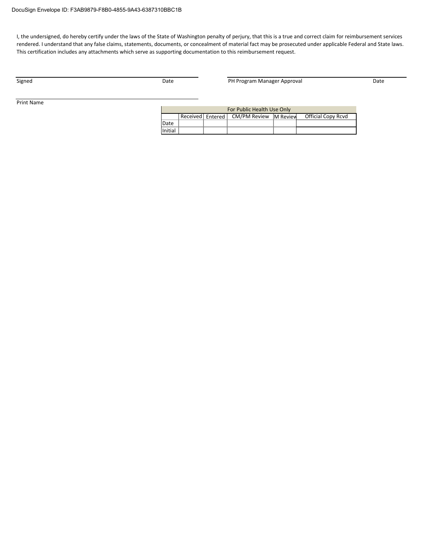I, the undersigned, do hereby certify under the laws of the State of Washington penalty of perjury, that this is a true and correct claim for reimbursement services rendered. I understand that any false claims, statements, documents, or concealment of material fact may be prosecuted under applicable Federal and State laws. This certification includes any attachments which serve as supporting documentation to this reimbursement request.

Signed **Example 2018** Date **Date Date PH Program Manager Approval** Date Date

Print Name

| For Public Health Use Only |                    |  |                       |  |                           |  |  |  |
|----------------------------|--------------------|--|-----------------------|--|---------------------------|--|--|--|
|                            | Received Entered L |  | CM/PM Review M Review |  | <b>Official Copy Rcvd</b> |  |  |  |
| Date                       |                    |  |                       |  |                           |  |  |  |
| Initial                    |                    |  |                       |  |                           |  |  |  |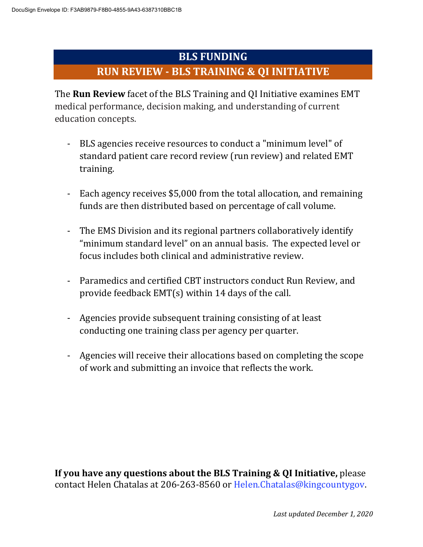## **BLS FUNDING**

## **RUN REVIEW - BLS TRAINING & QI INITIATIVE**

The **Run Review** facet of the BLS Training and QI Initiative examines EMT medical performance, decision making, and understanding of current education concepts.

- BLS agencies receive resources to conduct a "minimum level" of standard patient care record review (run review) and related EMT training.
- Each agency receives \$5,000 from the total allocation, and remaining funds are then distributed based on percentage of call volume.
- The EMS Division and its regional partners collaboratively identify "minimum standard level" on an annual basis. The expected level or focus includes both clinical and administrative review.
- Paramedics and certified CBT instructors conduct Run Review, and provide feedback EMT(s) within 14 days of the call.
- Agencies provide subsequent training consisting of at least conducting one training class per agency per quarter.
- Agencies will receive their allocations based on completing the scope of work and submitting an invoice that reflects the work.

**If you have any questions about the BLS Training & QI Initiative,** please contact Helen Chatalas at 206-263-8560 or Helen.Chatalas@kingcountygov.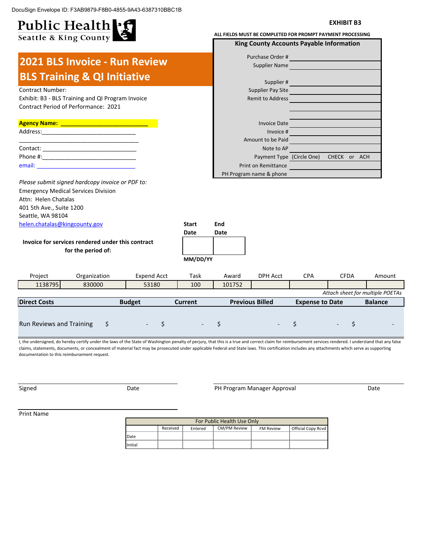DocuSign Envelope ID: F3AB9879-F8B0-4855-9A43-6387310BBC1B

#### Public Health : f **EXHIBIT B3** Seattle & King County **ALL FIELDS MUST BE COMPLETED FOR PROMPT PAYMENT PROCESSING King County Accounts Payable Information** Purchase Order # **2021 BLS Invoice - Run Review** Supplier Name **BLS Training & QI Initiative**  Supplier # **Contract Number:** Supplier Pay Site Exhibit: B3 - BLS Training and QI Program Invoice **Remit to Address** Remit to Address Contract Period of Performance: 2021 **Agency Name: \_\_\_\_\_\_\_\_\_\_\_\_\_\_\_\_\_\_\_\_\_\_\_\_\_\_\_** Invoice Date Address: Invoice # Amount to be Paid \_\_\_\_\_\_\_\_\_\_\_\_\_\_\_\_\_\_\_\_\_\_\_\_\_\_\_\_\_\_\_\_\_\_\_\_\_ Contact: \_\_\_\_\_\_\_\_\_\_\_\_\_\_\_\_\_\_\_\_\_\_\_\_\_\_\_\_\_ Note to AP Phone #: Payment Type (Circle One) CHECK or ACH email: Print on Remittance PH Program name & phone *Please submit signed hardcopy invoice or PDF to:* Emergency Medical Services Division Attn: Helen Chatalas 401 5th Ave., Suite 1200 Seattle, WA 98104 helen.chatalas@kingcounty.gov **Start End Date Date Invoice for services rendered under this contract for the period of: MM/DD/YY** Project Crganization Expend Acct Task Award DPH Acct CPA Expend Acct Task Award Task CFDA Amount 1138795 830000 53180 100 101752 *Attach sheet for multiple POETAs* **Direct Costs Budget Current Previous Billed Balance Expense to Date** Run Reviews and Training  $\begin{array}{ccc} 5 & -5 \end{array}$   $\begin{array}{ccc} -5 & -5 \end{array}$ \$ - I, the undersigned, do hereby certify under the laws of the State of Washington penalty of perjury, that this is a true and correct claim for reimbursement services rendered. I understand that any false claims, statements, documents, or concealment of material fact may be prosecuted under applicable Federal and State laws. This certification includes any attachments which serve as supporting documentation to this reimbursement request.

Signed **Signed Example 2** Date **Date Construction PH Program Manager Approval Date Date** Date

Print Name

| For Public Health Use Only |          |         |              |                  |                    |  |  |  |  |
|----------------------------|----------|---------|--------------|------------------|--------------------|--|--|--|--|
|                            | Received | Entered | CM/PM Review | <b>FM Review</b> | Official Copy Rcvd |  |  |  |  |
| Date                       |          |         |              |                  |                    |  |  |  |  |
| Initial                    |          |         |              |                  |                    |  |  |  |  |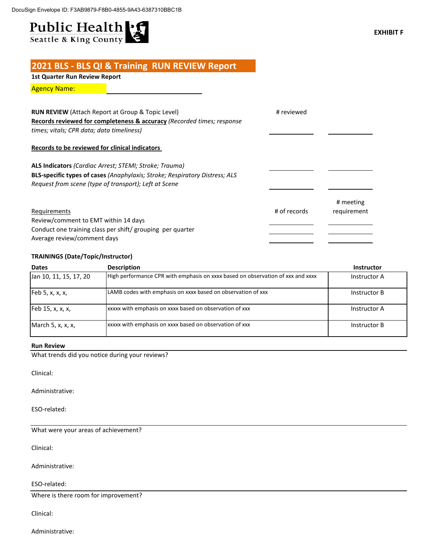# Public Health .f Seattle & King County

## **2021 BLS - BLS QI & Training RUN REVIEW Report**

**1st Quarter Run Review Report**

Agency Name:

| <b>RUN REVIEW</b> (Attach Report at Group & Topic Level)                    | # reviewed   |             |
|-----------------------------------------------------------------------------|--------------|-------------|
| Records reviewed for completeness & accuracy (Recorded times; response      |              |             |
| times; vitals; CPR data; data timeliness)                                   |              |             |
| Records to be reviewed for clinical indicators                              |              |             |
| ALS Indicators (Cardiac Arrest; STEMI; Stroke; Trauma)                      |              |             |
| BLS-specific types of cases (Anaphylaxis; Stroke; Respiratory Distress; ALS |              |             |
| Request from scene (type of transport); Left at Scene                       |              |             |
|                                                                             |              | # meeting   |
| Requirements                                                                | # of records | requirement |
| Review/comment to EMT within 14 days                                        |              |             |
| Conduct one training class per shift/ grouping per quarter                  |              |             |
| Average review/comment days                                                 |              |             |

### **TRAININGS (Date/Topic/Instructor)**

| <b>Dates</b>           | <b>Description</b>                                                              | <b>Instructor</b> |
|------------------------|---------------------------------------------------------------------------------|-------------------|
| Jan 10, 11, 15, 17, 20 | High performance CPR with emphasis on xxxx based on observation of xxx and xxxx | Instructor A      |
| Feb 5, x, x, x,        | LAMB codes with emphasis on xxxx based on observation of xxx                    | Instructor B      |
| Feb 15, x, x, x,       | xxxxx with emphasis on xxxx based on observation of xxx                         | Instructor A      |
| March 5, x, x, x,      | xxxxx with emphasis on xxxx based on observation of xxx                         | Instructor B      |

### **Run Review**

What trends did you notice during your reviews?

Clinical:

Administrative:

ESO-related:

What were your areas of achievement?

Clinical:

Administrative:

ESO-related:

Where is there room for improvement?

Clinical: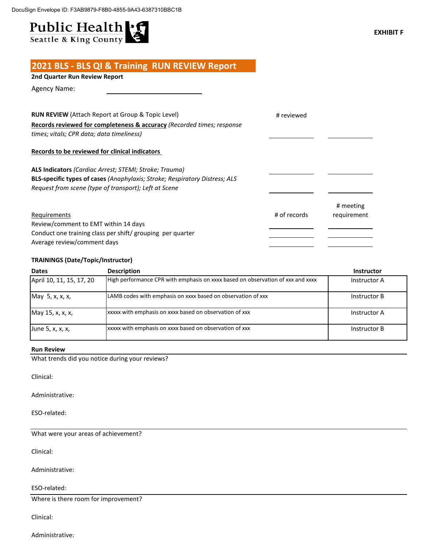# Public Health .f Seattle & King County

## **2021 BLS - BLS QI & Training RUN REVIEW Report**

## **2nd Quarter Run Review Report**

Agency Name:

| <b>RUN REVIEW</b> (Attach Report at Group & Topic Level)                                  | # reviewed   |             |
|-------------------------------------------------------------------------------------------|--------------|-------------|
| Records reviewed for completeness & accuracy (Recorded times; response                    |              |             |
| times; vitals; CPR data; data timeliness)                                                 |              |             |
| Records to be reviewed for clinical indicators                                            |              |             |
| ALS Indicators (Cardiac Arrest; STEMI; Stroke; Trauma)                                    |              |             |
| BLS-specific types of cases (Anaphylaxis; Stroke; Respiratory Distress; ALS               |              |             |
| Request from scene (type of transport); Left at Scene                                     |              |             |
|                                                                                           |              | # meeting   |
| Requirements                                                                              | # of records | requirement |
| Review/comment to EMT within 14 days                                                      |              |             |
| Conduct one training class per shift/ grouping per quarter<br>Average review/comment days |              |             |
|                                                                                           |              |             |

### **TRAININGS (Date/Topic/Instructor)**

| <b>Dates</b>             | <b>Description</b>                                                              | <b>Instructor</b> |
|--------------------------|---------------------------------------------------------------------------------|-------------------|
| April 10, 11, 15, 17, 20 | High performance CPR with emphasis on xxxx based on observation of xxx and xxxx | Instructor A      |
| May 5, x, x, x,          | LAMB codes with emphasis on xxxx based on observation of xxx                    | Instructor B      |
| May 15, x, x, x,         | xxxxx with emphasis on xxxx based on observation of xxx                         | Instructor A      |
| June 5, x, x, x,         | xxxxx with emphasis on xxxx based on observation of xxx                         | Instructor B      |

### **Run Review**

What trends did you notice during your reviews?

Clinical:

Administrative:

ESO-related:

What were your areas of achievement?

Clinical:

Administrative:

ESO-related:

Where is there room for improvement?

Clinical: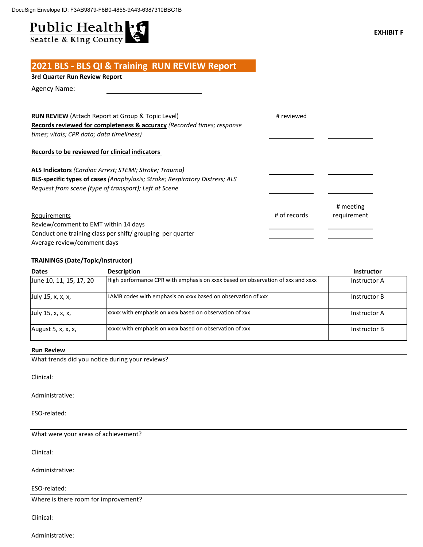# Public Health - 5

## **2021 BLS - BLS QI & Training RUN REVIEW Report**

### **3rd Quarter Run Review Report**

Agency Name:

| <b>RUN REVIEW</b> (Attach Report at Group & Topic Level)<br><b>Records reviewed for completeness &amp; accuracy (Recorded times; response</b><br>times; vitals; CPR data; data timeliness)            | # reviewed   |                          |
|-------------------------------------------------------------------------------------------------------------------------------------------------------------------------------------------------------|--------------|--------------------------|
| Records to be reviewed for clinical indicators                                                                                                                                                        |              |                          |
| ALS Indicators (Cardiac Arrest; STEMI; Stroke; Trauma)<br><b>BLS-specific types of cases (Anaphylaxis; Stroke; Respiratory Distress; ALS</b><br>Request from scene (type of transport); Left at Scene |              |                          |
| Requirements<br>Review/comment to EMT within 14 days<br>Conduct one training class per shift/ grouping per quarter<br>Average review/comment days                                                     | # of records | # meeting<br>requirement |

### **TRAININGS (Date/Topic/Instructor)**

| <b>Dates</b>            | <b>Description</b>                                                              | <b>Instructor</b> |
|-------------------------|---------------------------------------------------------------------------------|-------------------|
| June 10, 11, 15, 17, 20 | High performance CPR with emphasis on xxxx based on observation of xxx and xxxx | Instructor A      |
| July 15, x, x, x,       | LAMB codes with emphasis on xxxx based on observation of xxx                    | Instructor B      |
| July 15, x, x, x,       | xxxxx with emphasis on xxxx based on observation of xxx                         | Instructor A      |
| August 5, x, x, x,      | xxxxx with emphasis on xxxx based on observation of xxx                         | Instructor B      |

### **Run Review**

What trends did you notice during your reviews?

Clinical:

Administrative:

ESO-related:

What were your areas of achievement?

Clinical:

Administrative:

ESO-related:

Where is there room for improvement?

Clinical: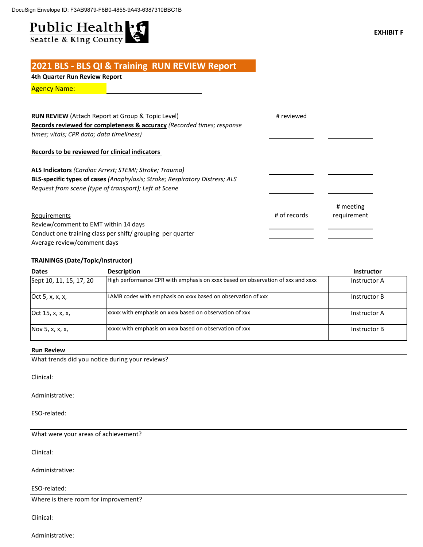# Public Health :

## **2021 BLS - BLS QI & Training RUN REVIEW Report**

**4th Quarter Run Review Report**

Agency Name:

| <b>RUN REVIEW</b> (Attach Report at Group & Topic Level)<br>Records reviewed for completeness & accuracy (Recorded times; response<br>times; vitals; CPR data; data timeliness)                | # reviewed   |                          |
|------------------------------------------------------------------------------------------------------------------------------------------------------------------------------------------------|--------------|--------------------------|
| Records to be reviewed for clinical indicators                                                                                                                                                 |              |                          |
| ALS Indicators (Cardiac Arrest; STEMI; Stroke; Trauma)<br>BLS-specific types of cases (Anaphylaxis; Stroke; Respiratory Distress; ALS<br>Request from scene (type of transport); Left at Scene |              |                          |
| Requirements<br>Review/comment to EMT within 14 days<br>Conduct one training class per shift/ grouping per quarter<br>Average review/comment days                                              | # of records | # meeting<br>requirement |

### **TRAININGS (Date/Topic/Instructor)**

| <b>Dates</b>            | <b>Description</b>                                                              | <b>Instructor</b> |
|-------------------------|---------------------------------------------------------------------------------|-------------------|
| Sept 10, 11, 15, 17, 20 | High performance CPR with emphasis on xxxx based on observation of xxx and xxxx | Instructor A      |
| Oct 5, x, x, x,         | LAMB codes with emphasis on xxxx based on observation of xxx                    | Instructor B      |
| Oct 15, x, x, x,        | xxxxx with emphasis on xxxx based on observation of xxx                         | Instructor A      |
| Nov 5, x, x, x,         | xxxxx with emphasis on xxxx based on observation of xxx                         | Instructor B      |

### **Run Review**

What trends did you notice during your reviews?

Clinical:

Administrative:

ESO-related:

What were your areas of achievement?

Clinical:

Administrative:

ESO-related:

Where is there room for improvement?

Clinical: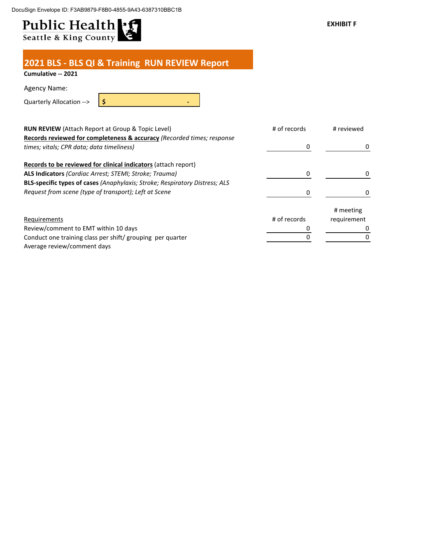DocuSign Envelope ID: F3AB9879-F8B0-4855-9A43-6387310BBC1B

# Public Health :

**2021 BLS - BLS QI & Training RUN REVIEW Report**

## **Cumulative -- 2021**

Agency Name:

Quarterly Allocation --> **\$ -**

| RUN REVIEW (Attach Report at Group & Topic Level)                           | # of records | # reviewed  |
|-----------------------------------------------------------------------------|--------------|-------------|
| Records reviewed for completeness & accuracy (Recorded times; response      |              |             |
| times; vitals; CPR data; data timeliness)                                   |              |             |
| Records to be reviewed for clinical indicators (attach report)              |              |             |
| ALS Indicators (Cardiac Arrest; STEMI; Stroke; Trauma)                      |              |             |
| BLS-specific types of cases (Anaphylaxis; Stroke; Respiratory Distress; ALS |              |             |
| Request from scene (type of transport); Left at Scene                       |              |             |
|                                                                             |              | # meeting   |
| Requirements                                                                | # of records | requirement |
| Review/comment to EMT within 10 days                                        |              |             |
| Conduct one training class per shift/ grouping per quarter                  |              |             |
| Average review/comment days                                                 |              |             |

**EXHIBIT F**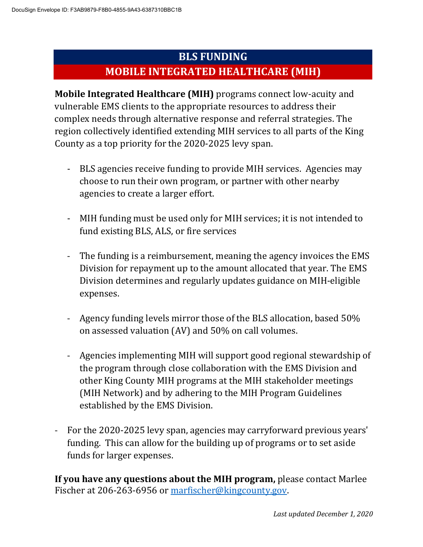## **BLS FUNDING**

## **MOBILE INTEGRATED HEALTHCARE (MIH)**

**Mobile Integrated Healthcare (MIH)** programs connect low-acuity and vulnerable EMS clients to the appropriate resources to address their complex needs through alternative response and referral strategies. The region collectively identified extending MIH services to all parts of the King County as a top priority for the 2020-2025 levy span.

- BLS agencies receive funding to provide MIH services. Agencies may choose to run their own program, or partner with other nearby agencies to create a larger effort.
- MIH funding must be used only for MIH services; it is not intended to fund existing BLS, ALS, or fire services
- The funding is a reimbursement, meaning the agency invoices the EMS Division for repayment up to the amount allocated that year. The EMS Division determines and regularly updates guidance on MIH-eligible expenses.
- Agency funding levels mirror those of the BLS allocation, based 50% on assessed valuation (AV) and 50% on call volumes.
- Agencies implementing MIH will support good regional stewardship of the program through close collaboration with the EMS Division and other King County MIH programs at the MIH stakeholder meetings (MIH Network) and by adhering to the MIH Program Guidelines established by the EMS Division.
- For the 2020-2025 levy span, agencies may carryforward previous years' funding. This can allow for the building up of programs or to set aside funds for larger expenses.

**If you have any questions about the MIH program,** please contact Marlee Fischer at 206-263-6956 or marfischer@kingcounty.gov.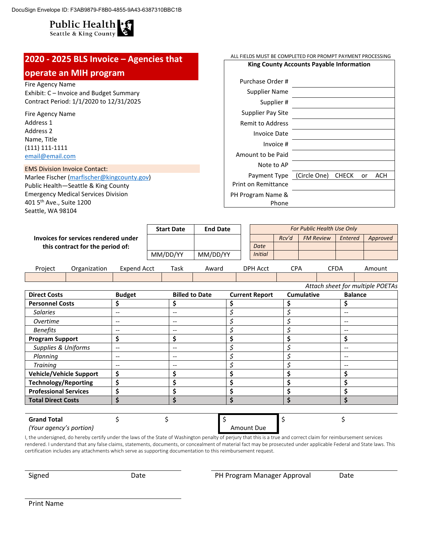

#### **2020 - 2025 BLS Invoice – Agencies that operate an MIH program**  Fire Agency Name Exhibit: C – Invoice and Budget Summary Contract Period: 1/1/2020 to 12/31/2025 Fire Agency Name Address 1 Address 2 Name, Title (111) 111-1111 email@email.com EMS Division Invoice Contact: Marlee Fischer (marfischer@kingcounty.gov) Public Health—Seattle & King County Emergency Medical Services Division 401 5th Ave., Suite 1200 Seattle, WA 98104 ALL FIELDS MUST BE COMPLETED FOR PROMPT PAYMENT PROCESSING **King County Accounts Payable Information** Purchase Order # Supplier Name Supplier # Supplier Pay Site Remit to Address Invoice Date Invoice # Amount to be Paid Note to AP Payment Type (Circle One) CHECK or ACH Print on Remittance PH Program Name & Phone **Invoices for services rendered under this contract for the period of: Start Date End Date** *For Public Health Use Only Rcv'd FM Review Entered Approved Date*

|         |              |             | . $\frac{1}{2}$ = $\frac{1}{2}$ |       |                 |     |      |        |
|---------|--------------|-------------|---------------------------------|-------|-----------------|-----|------|--------|
| Project | Organization | Expend Acct | Task                            | Award | <b>DPH Acct</b> | CDA | CFDA | Amount |
|         |              |             |                                 |       |                 |     |      |        |

MM/DD/YY MM/DD/YY *Initial*

| <b>Direct Costs</b>            | <b>Budget</b> | <b>Billed to Date</b> | <b>Current Report</b> | <b>Cumulative</b> | <b>Balance</b> |
|--------------------------------|---------------|-----------------------|-----------------------|-------------------|----------------|
| <b>Personnel Costs</b>         |               |                       |                       |                   | \$             |
| <b>Salaries</b>                | --            | $-$                   |                       |                   | $-$            |
| Overtime                       | $-$           | $- -$                 |                       |                   | $-$            |
| <b>Benefits</b>                | $-$           | $- -$                 |                       |                   | --             |
| <b>Program Support</b>         | Ś             | Ś                     |                       |                   | \$             |
| <b>Supplies &amp; Uniforms</b> | $-$           | $- -$                 |                       |                   | $-$            |
| Planning                       | $-$           | --                    |                       |                   | $-$            |
| Training                       | --            | $- -$                 |                       |                   | --             |
| <b>Vehicle/Vehicle Support</b> | \$            |                       |                       |                   | \$             |
| <b>Technology/Reporting</b>    |               |                       |                       |                   | Ś              |
| <b>Professional Services</b>   |               |                       |                       |                   | \$             |
| <b>Total Direct Costs</b>      |               |                       |                       |                   | \$             |
|                                |               |                       |                       |                   |                |
| <b>Grand Total</b>             |               |                       |                       |                   |                |

*(Your agency's portion)* Amount Due

I, the undersigned, do hereby certify under the laws of the State of Washington penalty of perjury that this is a true and correct claim for reimbursement services rendered. I understand that any false claims, statements, documents, or concealment of material fact may be prosecuted under applicable Federal and State laws. This certification includes any attachments which serve as supporting documentation to this reimbursement request.

Signed **Date Date Date PH Program Manager Approval** Date

Print Name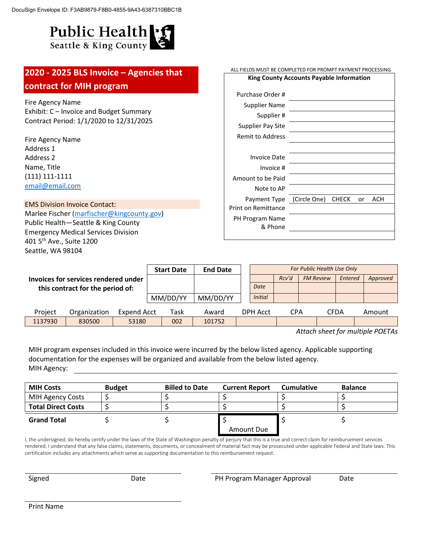# Public Health

| 2020 - 2025 BLS Invoice - Agencies that<br>contract for MIH program                                                                                                                                                                  |                   | ALL FIELDS MUST BE COMPLETED FOR PROMPT PAYMENT PROCESSING<br>King County Accounts Payable Information |  |  |                                                                                                |       |                                                |              |    |          |
|--------------------------------------------------------------------------------------------------------------------------------------------------------------------------------------------------------------------------------------|-------------------|--------------------------------------------------------------------------------------------------------|--|--|------------------------------------------------------------------------------------------------|-------|------------------------------------------------|--------------|----|----------|
| Fire Agency Name<br>Exhibit: C – Invoice and Budget Summary<br>Contract Period: 1/1/2020 to 12/31/2025                                                                                                                               |                   |                                                                                                        |  |  | Purchase Order #<br>Supplier Name<br>Supplier #<br><b>Supplier Pay Site</b>                    |       |                                                |              |    |          |
| Fire Agency Name<br>Address 1<br>Address 2<br>Name, Title<br>$(111) 111 - 1111$<br>email@email.com                                                                                                                                   |                   |                                                                                                        |  |  | <b>Remit to Address</b><br><b>Invoice Date</b><br>Invoice #<br>Amount to be Paid<br>Note to AP |       |                                                |              |    |          |
| <b>EMS Division Invoice Contact:</b><br>Marlee Fischer (marfischer@kingcounty.gov)<br>Public Health-Seattle & King County<br><b>Emergency Medical Services Division</b><br>401 5 <sup>th</sup> Ave., Suite 1200<br>Seattle, WA 98104 |                   |                                                                                                        |  |  | Payment Type<br><b>Print on Remittance</b><br>PH Program Name<br>& Phone                       |       | (Circle One)                                   | <b>CHECK</b> | or | ACH      |
| Invoices for services rendered under<br>this contract for the period of:                                                                                                                                                             | <b>Start Date</b> | <b>End Date</b>                                                                                        |  |  | Date                                                                                           | Rcv'd | For Public Health Use Only<br><b>FM Review</b> | Entered      |    | Approved |

|         | this contract for the period on |             | MM/DD/YY | MM/DD/YY | <b>Initial</b>  |     |      |        |  |
|---------|---------------------------------|-------------|----------|----------|-----------------|-----|------|--------|--|
| Project | Organization                    | Expend Acct | Task     | Award    | <b>DPH Acct</b> | CPA | CFDA | Amount |  |
| 1137930 | 830500                          | 53180       | 002      | 101752   |                 |     |      |        |  |

*Attach sheet for multiple POETAs*

MIH program expenses included in this invoice were incurred by the below listed agency. Applicable supporting documentation for the expenses will be organized and available from the below listed agency. MIH Agency:

| <b>MIH Costs</b>          | <b>Budget</b> | <b>Billed to Date</b> | <b>Current Report</b> | <b>Cumulative</b> | <b>Balance</b> |
|---------------------------|---------------|-----------------------|-----------------------|-------------------|----------------|
| MIH Agency Costs          |               |                       |                       |                   |                |
| <b>Total Direct Costs</b> |               |                       |                       |                   |                |
| <b>Grand Total</b>        |               |                       |                       |                   |                |
|                           |               |                       | Amount Due            |                   |                |

I, the undersigned, do hereby certify under the laws of the State of Washington penalty of perjury that this is a true and correct claim for reimbursement services rendered. I understand that any false claims, statements, documents, or concealment of material fact may be prosecuted under applicable Federal and State laws. This certification includes any attachments which serve as supporting documentation to this reimbursement request.

Signed **Date** Date **PH Program Manager Approval** Date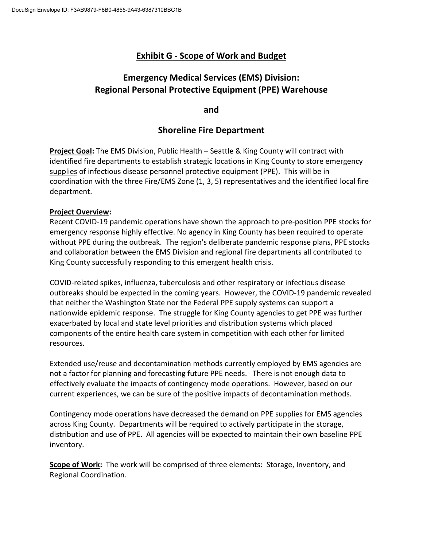## **Exhibit G - Scope of Work and Budget**

## **Emergency Medical Services (EMS) Division: Regional Personal Protective Equipment (PPE) Warehouse**

**and** 

## **Shoreline Fire Department**

**Project Goal:** The EMS Division, Public Health – Seattle & King County will contract with identified fire departments to establish strategic locations in King County to store emergency supplies of infectious disease personnel protective equipment (PPE). This will be in coordination with the three Fire/EMS Zone (1, 3, 5) representatives and the identified local fire department.

## **Project Overview:**

Recent COVID-19 pandemic operations have shown the approach to pre-position PPE stocks for emergency response highly effective. No agency in King County has been required to operate without PPE during the outbreak. The region's deliberate pandemic response plans, PPE stocks and collaboration between the EMS Division and regional fire departments all contributed to King County successfully responding to this emergent health crisis.

COVID-related spikes, influenza, tuberculosis and other respiratory or infectious disease outbreaks should be expected in the coming years. However, the COVID-19 pandemic revealed that neither the Washington State nor the Federal PPE supply systems can support a nationwide epidemic response. The struggle for King County agencies to get PPE was further exacerbated by local and state level priorities and distribution systems which placed components of the entire health care system in competition with each other for limited resources.

Extended use/reuse and decontamination methods currently employed by EMS agencies are not a factor for planning and forecasting future PPE needs. There is not enough data to effectively evaluate the impacts of contingency mode operations. However, based on our current experiences, we can be sure of the positive impacts of decontamination methods.

Contingency mode operations have decreased the demand on PPE supplies for EMS agencies across King County. Departments will be required to actively participate in the storage, distribution and use of PPE. All agencies will be expected to maintain their own baseline PPE inventory.

**Scope of Work:** The work will be comprised of three elements: Storage, Inventory, and Regional Coordination.